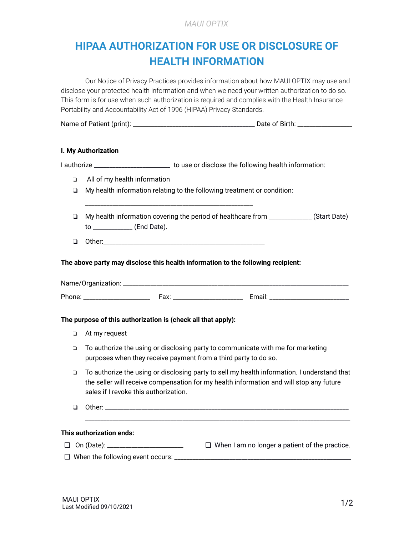# **HIPAA AUTHORIZATION FOR USE OR DISCLOSURE OF HEALTH INFORMATION**

Our Notice of Privacy Practices provides information about how MAUI OPTIX may use and disclose your protected health information and when we need your written authorization to do so. This form is for use when such authorization is required and complies with the Health Insurance Portability and Accountability Act of 1996 (HIPAA) Privacy Standards.

| Name of Patient (print): | Date of Birth: |
|--------------------------|----------------|
|--------------------------|----------------|

#### **I. My Authorization**

I authorize \_\_\_\_\_\_\_\_\_\_\_\_\_\_\_\_\_\_\_\_\_\_\_\_\_\_ to use or disclose the following health information: ❏ All of my health information ❏ My health information relating to the following treatment or condition:

- ❏ My health information covering the period of healthcare from \_\_\_\_\_\_\_\_\_\_\_\_\_\_ (Start Date) to \_\_\_\_\_\_\_\_\_\_\_\_\_ (End Date).
- $\Box$  Other:

\_\_\_\_\_\_\_\_\_\_\_\_\_\_\_\_\_\_\_\_\_\_\_\_\_\_\_\_\_\_\_\_\_\_\_\_\_\_\_\_\_\_\_\_\_\_\_\_\_\_\_\_\_\_\_

**The above party may disclose this health information to the following recipient:**

| Name/Organization: |       |        |
|--------------------|-------|--------|
| Phone:             | '-ах. | Email: |

#### **The purpose of this authorization is (check all that apply):**

- ❏ At my request
- ❏ To authorize the using or disclosing party to communicate with me for marketing purposes when they receive payment from a third party to do so.
- ❏ To authorize the using or disclosing party to sell my health information. I understand that the seller will receive compensation for my health information and will stop any future sales if I revoke this authorization.
- $\Box$  Other:

\_\_\_\_\_\_\_\_\_\_\_\_\_\_\_\_\_\_\_\_\_\_\_\_\_\_\_\_\_\_\_\_\_\_\_\_\_\_\_\_\_\_\_\_\_\_\_\_\_\_\_\_\_\_\_\_\_\_\_\_\_\_\_\_\_\_\_\_\_\_\_\_\_\_\_\_\_\_\_\_\_\_\_\_\_\_\_

#### **This authorization ends:**

- ❑ On (Date): \_\_\_\_\_\_\_\_\_\_\_\_\_\_\_\_\_\_\_\_\_\_\_\_\_ When I am no longer a patient of the practice. ❑
- $\Box$  When the following event occurs:  $\Box$